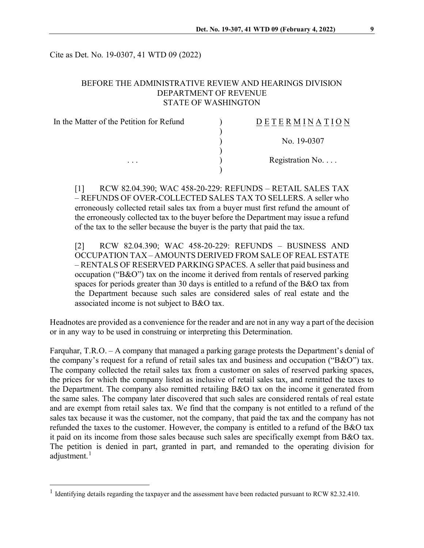Cite as Det. No. 19-0307, 41 WTD 09 (2022)

## BEFORE THE ADMINISTRATIVE REVIEW AND HEARINGS DIVISION DEPARTMENT OF REVENUE STATE OF WASHINGTON

| In the Matter of the Petition for Refund | DETER<br>MINATION |
|------------------------------------------|-------------------|
|                                          | No. 19-0307       |
| $\cdots$                                 | Registration No.  |

[1] RCW 82.04.390; WAC 458-20-229: REFUNDS – RETAIL SALES TAX – REFUNDS OF OVER-COLLECTED SALES TAX TO SELLERS. A seller who erroneously collected retail sales tax from a buyer must first refund the amount of the erroneously collected tax to the buyer before the Department may issue a refund of the tax to the seller because the buyer is the party that paid the tax.

[2] RCW 82.04.390; WAC 458-20-229: REFUNDS – BUSINESS AND OCCUPATION TAX – AMOUNTS DERIVED FROM SALE OF REAL ESTATE – RENTALS OF RESERVED PARKING SPACES. A seller that paid business and occupation ("B&O") tax on the income it derived from rentals of reserved parking spaces for periods greater than 30 days is entitled to a refund of the B&O tax from the Department because such sales are considered sales of real estate and the associated income is not subject to B&O tax.

Headnotes are provided as a convenience for the reader and are not in any way a part of the decision or in any way to be used in construing or interpreting this Determination.

Farquhar, T.R.O. – A company that managed a parking garage protests the Department's denial of the company's request for a refund of retail sales tax and business and occupation ("B&O") tax. The company collected the retail sales tax from a customer on sales of reserved parking spaces, the prices for which the company listed as inclusive of retail sales tax, and remitted the taxes to the Department. The company also remitted retailing B&O tax on the income it generated from the same sales. The company later discovered that such sales are considered rentals of real estate and are exempt from retail sales tax. We find that the company is not entitled to a refund of the sales tax because it was the customer, not the company, that paid the tax and the company has not refunded the taxes to the customer. However, the company is entitled to a refund of the B&O tax it paid on its income from those sales because such sales are specifically exempt from B&O tax. The petition is denied in part, granted in part, and remanded to the operating division for adjustment.<sup>[1](#page-0-0)</sup>

<span id="page-0-0"></span><sup>&</sup>lt;sup>1</sup> Identifying details regarding the taxpayer and the assessment have been redacted pursuant to RCW 82.32.410.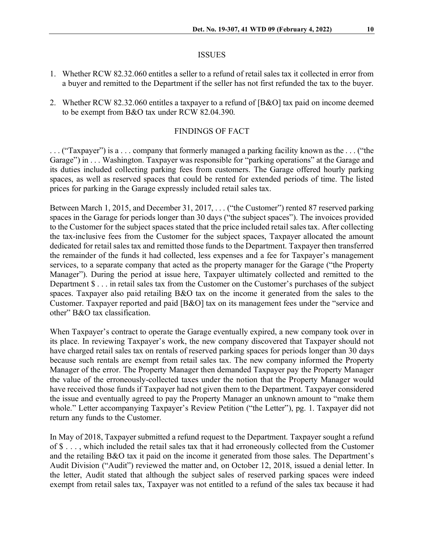#### ISSUES

- 1. Whether RCW 82.32.060 entitles a seller to a refund of retail sales tax it collected in error from a buyer and remitted to the Department if the seller has not first refunded the tax to the buyer.
- 2. Whether RCW 82.32.060 entitles a taxpayer to a refund of [B&O] tax paid on income deemed to be exempt from B&O tax under RCW 82.04.390.

### FINDINGS OF FACT

. . . ("Taxpayer") is a . . . company that formerly managed a parking facility known as the . . . ("the Garage") in . . . Washington. Taxpayer was responsible for "parking operations" at the Garage and its duties included collecting parking fees from customers. The Garage offered hourly parking spaces, as well as reserved spaces that could be rented for extended periods of time. The listed prices for parking in the Garage expressly included retail sales tax.

Between March 1, 2015, and December 31, 2017, . . . ("the Customer") rented 87 reserved parking spaces in the Garage for periods longer than 30 days ("the subject spaces"). The invoices provided to the Customer for the subject spaces stated that the price included retail sales tax. After collecting the tax-inclusive fees from the Customer for the subject spaces, Taxpayer allocated the amount dedicated for retail sales tax and remitted those funds to the Department. Taxpayer then transferred the remainder of the funds it had collected, less expenses and a fee for Taxpayer's management services, to a separate company that acted as the property manager for the Garage ("the Property Manager"). During the period at issue here, Taxpayer ultimately collected and remitted to the Department \$ . . . in retail sales tax from the Customer on the Customer's purchases of the subject spaces. Taxpayer also paid retailing B&O tax on the income it generated from the sales to the Customer. Taxpayer reported and paid [B&O] tax on its management fees under the "service and other" B&O tax classification.

When Taxpayer's contract to operate the Garage eventually expired, a new company took over in its place. In reviewing Taxpayer's work, the new company discovered that Taxpayer should not have charged retail sales tax on rentals of reserved parking spaces for periods longer than 30 days because such rentals are exempt from retail sales tax. The new company informed the Property Manager of the error. The Property Manager then demanded Taxpayer pay the Property Manager the value of the erroneously-collected taxes under the notion that the Property Manager would have received those funds if Taxpayer had not given them to the Department. Taxpayer considered the issue and eventually agreed to pay the Property Manager an unknown amount to "make them whole." Letter accompanying Taxpayer's Review Petition ("the Letter"), pg. 1. Taxpayer did not return any funds to the Customer.

In May of 2018, Taxpayer submitted a refund request to the Department. Taxpayer sought a refund of \$ . . . , which included the retail sales tax that it had erroneously collected from the Customer and the retailing B&O tax it paid on the income it generated from those sales. The Department's Audit Division ("Audit") reviewed the matter and, on October 12, 2018, issued a denial letter. In the letter, Audit stated that although the subject sales of reserved parking spaces were indeed exempt from retail sales tax, Taxpayer was not entitled to a refund of the sales tax because it had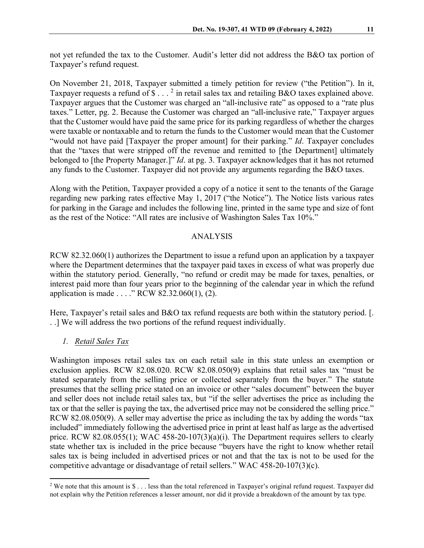not yet refunded the tax to the Customer. Audit's letter did not address the B&O tax portion of Taxpayer's refund request.

On November 21, 2018, Taxpayer submitted a timely petition for review ("the Petition"). In it, Taxpayer requests a refund of  $\$\dots^2$  $\$\dots^2$  in retail sales tax and retailing B&O taxes explained above. Taxpayer argues that the Customer was charged an "all-inclusive rate" as opposed to a "rate plus taxes." Letter, pg. 2. Because the Customer was charged an "all-inclusive rate," Taxpayer argues that the Customer would have paid the same price for its parking regardless of whether the charges were taxable or nontaxable and to return the funds to the Customer would mean that the Customer "would not have paid [Taxpayer the proper amount] for their parking." *Id*. Taxpayer concludes that the "taxes that were stripped off the revenue and remitted to [the Department] ultimately belonged to [the Property Manager.]" *Id*. at pg. 3. Taxpayer acknowledges that it has not returned any funds to the Customer. Taxpayer did not provide any arguments regarding the B&O taxes.

Along with the Petition, Taxpayer provided a copy of a notice it sent to the tenants of the Garage regarding new parking rates effective May 1, 2017 ("the Notice"). The Notice lists various rates for parking in the Garage and includes the following line, printed in the same type and size of font as the rest of the Notice: "All rates are inclusive of Washington Sales Tax 10%."

## ANALYSIS

RCW 82.32.060(1) authorizes the Department to issue a refund upon an application by a taxpayer where the Department determines that the taxpayer paid taxes in excess of what was properly due within the statutory period. Generally, "no refund or credit may be made for taxes, penalties, or interest paid more than four years prior to the beginning of the calendar year in which the refund application is made . . . ." RCW 82.32.060(1), (2).

Here, Taxpayer's retail sales and B&O tax refund requests are both within the statutory period. [. . .] We will address the two portions of the refund request individually.

# *1. Retail Sales Tax*

Washington imposes retail sales tax on each retail sale in this state unless an exemption or exclusion applies. RCW 82.08.020. RCW 82.08.050(9) explains that retail sales tax "must be stated separately from the selling price or collected separately from the buyer." The statute presumes that the selling price stated on an invoice or other "sales document" between the buyer and seller does not include retail sales tax, but "if the seller advertises the price as including the tax or that the seller is paying the tax, the advertised price may not be considered the selling price." RCW 82.08.050(9). A seller may advertise the price as including the tax by adding the words "tax included" immediately following the advertised price in print at least half as large as the advertised price. RCW 82.08.055(1); WAC 458-20-107(3)(a)(i). The Department requires sellers to clearly state whether tax is included in the price because "buyers have the right to know whether retail sales tax is being included in advertised prices or not and that the tax is not to be used for the competitive advantage or disadvantage of retail sellers." WAC 458-20-107(3)(c).

<span id="page-2-0"></span> $2$  We note that this amount is  $\S...$  less than the total referenced in Taxpayer's original refund request. Taxpayer did not explain why the Petition references a lesser amount, nor did it provide a breakdown of the amount by tax type.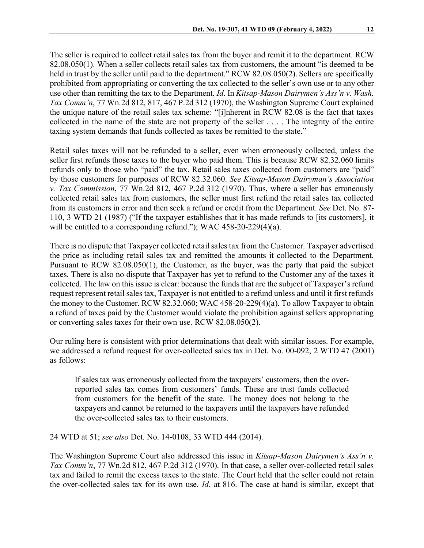The seller is required to collect retail sales tax from the buyer and remit it to the department. RCW 82.08.050(1). When a seller collects retail sales tax from customers, the amount "is deemed to be held in trust by the seller until paid to the department." RCW 82.08.050(2). Sellers are specifically prohibited from appropriating or converting the tax collected to the seller's own use or to any other use other than remitting the tax to the Department. *Id*. In *Kitsap-Mason Dairymen's Ass'n v. Wash. Tax Comm'n*, 77 Wn.2d 812, 817, 467 P.2d 312 (1970), the Washington Supreme Court explained the unique nature of the retail sales tax scheme: "[i]nherent in RCW 82.08 is the fact that taxes collected in the name of the state are not property of the seller . . . . The integrity of the entire taxing system demands that funds collected as taxes be remitted to the state."

Retail sales taxes will not be refunded to a seller, even when erroneously collected, unless the seller first refunds those taxes to the buyer who paid them. This is because RCW 82.32.060 limits refunds only to those who "paid" the tax. Retail sales taxes collected from customers are "paid" by those customers for purposes of RCW 82.32.060. *See Kitsap-Mason Dairyman's Association v. Tax Commission*, 77 Wn.2d 812, 467 P.2d 312 (1970). Thus, where a seller has erroneously collected retail sales tax from customers, the seller must first refund the retail sales tax collected from its customers in error and then seek a refund or credit from the Department. *See* Det. No. 87- 110, 3 WTD 21 (1987) ("If the taxpayer establishes that it has made refunds to [its customers], it will be entitled to a corresponding refund."); WAC 458-20-229(4)(a).

There is no dispute that Taxpayer collected retail sales tax from the Customer. Taxpayer advertised the price as including retail sales tax and remitted the amounts it collected to the Department. Pursuant to RCW 82.08.050(1), the Customer, as the buyer, was the party that paid the subject taxes. There is also no dispute that Taxpayer has yet to refund to the Customer any of the taxes it collected. The law on this issue is clear: because the funds that are the subject of Taxpayer's refund request represent retail sales tax, Taxpayer is not entitled to a refund unless and until it first refunds the money to the Customer. RCW 82.32.060; WAC 458-20-229(4)(a). To allow Taxpayer to obtain a refund of taxes paid by the Customer would violate the prohibition against sellers appropriating or converting sales taxes for their own use. RCW 82.08.050(2).

Our ruling here is consistent with prior determinations that dealt with similar issues. For example, we addressed a refund request for over-collected sales tax in Det. No. 00-092, 2 WTD 47 (2001) as follows:

If sales tax was erroneously collected from the taxpayers' customers, then the overreported sales tax comes from customers' funds. These are trust funds collected from customers for the benefit of the state. The money does not belong to the taxpayers and cannot be returned to the taxpayers until the taxpayers have refunded the over-collected sales tax to their customers.

24 WTD at 51; *see also* Det. No. 14-0108, 33 WTD 444 (2014).

The Washington Supreme Court also addressed this issue in *Kitsap-Mason Dairymen's Ass'n v. Tax Comm'n*, 77 Wn.2d 812, 467 P.2d 312 (1970). In that case, a seller over-collected retail sales tax and failed to remit the excess taxes to the state. The Court held that the seller could not retain the over-collected sales tax for its own use. *Id.* at 816. The case at hand is similar, except that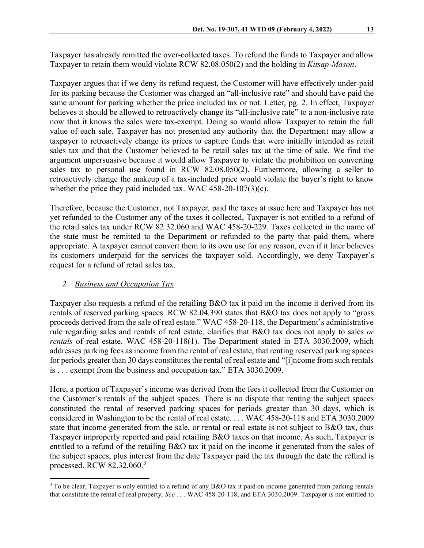Taxpayer has already remitted the over-collected taxes. To refund the funds to Taxpayer and allow Taxpayer to retain them would violate RCW 82.08.050(2) and the holding in *Kitsap-Mason*.

Taxpayer argues that if we deny its refund request, the Customer will have effectively under-paid for its parking because the Customer was charged an "all-inclusive rate" and should have paid the same amount for parking whether the price included tax or not. Letter, pg. 2. In effect, Taxpayer believes it should be allowed to retroactively change its "all-inclusive rate" to a non-inclusive rate now that it knows the sales were tax-exempt. Doing so would allow Taxpayer to retain the full value of each sale. Taxpayer has not presented any authority that the Department may allow a taxpayer to retroactively change its prices to capture funds that were initially intended as retail sales tax and that the Customer believed to be retail sales tax at the time of sale. We find the argument unpersuasive because it would allow Taxpayer to violate the prohibition on converting sales tax to personal use found in RCW 82.08.050(2). Furthermore, allowing a seller to retroactively change the makeup of a tax-included price would violate the buyer's right to know whether the price they paid included tax. WAC 458-20-107(3)(c).

Therefore, because the Customer, not Taxpayer, paid the taxes at issue here and Taxpayer has not yet refunded to the Customer any of the taxes it collected, Taxpayer is not entitled to a refund of the retail sales tax under RCW 82.32.060 and WAC 458-20-229. Taxes collected in the name of the state must be remitted to the Department or refunded to the party that paid them, where appropriate. A taxpayer cannot convert them to its own use for any reason, even if it later believes its customers underpaid for the services the taxpayer sold. Accordingly, we deny Taxpayer's request for a refund of retail sales tax.

# *2. Business and Occupation Tax*

Taxpayer also requests a refund of the retailing B&O tax it paid on the income it derived from its rentals of reserved parking spaces. RCW 82.04.390 states that B&O tax does not apply to "gross proceeds derived from the sale of real estate." WAC 458-20-118, the Department's administrative rule regarding sales and rentals of real estate, clarifies that B&O tax does not apply to sales *or rentals* of real estate. WAC 458-20-118(1). The Department stated in ETA 3030.2009, which addresses parking fees as income from the rental of real estate, that renting reserved parking spaces for periods greater than 30 days constitutes the rental of real estate and "[i]ncome from such rentals is . . . exempt from the business and occupation tax." ETA 3030.2009.

Here, a portion of Taxpayer's income was derived from the fees it collected from the Customer on the Customer's rentals of the subject spaces. There is no dispute that renting the subject spaces constituted the rental of reserved parking spaces for periods greater than 30 days, which is considered in Washington to be the rental of real estate. . . . WAC 458-20-118 and ETA 3030.2009 state that income generated from the sale, or rental or real estate is not subject to B&O tax, thus Taxpayer improperly reported and paid retailing B&O taxes on that income. As such, Taxpayer is entitled to a refund of the retailing B&O tax it paid on the income it generated from the sales of the subject spaces, plus interest from the date Taxpayer paid the tax through the date the refund is processed. RCW 82.32.060.[3](#page-4-0)

<span id="page-4-0"></span><sup>&</sup>lt;sup>3</sup> To be clear, Taxpayer is only entitled to a refund of any B&O tax it paid on income generated from parking rentals that constitute the rental of real property. *See* . . . WAC 458-20-118, and ETA 3030.2009. Taxpayer is not entitled to